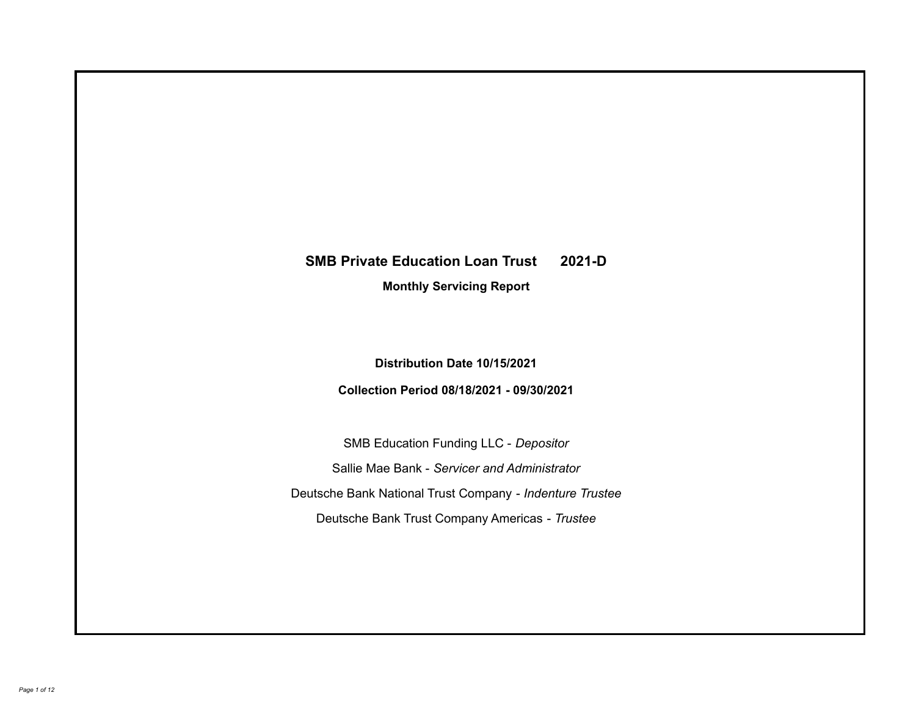# **SMB Private Education Loan Trust 2021-D**

**Monthly Servicing Report**

**Distribution Date 10/15/2021**

**Collection Period 08/18/2021 - 09/30/2021**

SMB Education Funding LLC - *Depositor* Sallie Mae Bank - *Servicer and Administrator* Deutsche Bank National Trust Company - *Indenture Trustee* Deutsche Bank Trust Company Americas - *Trustee*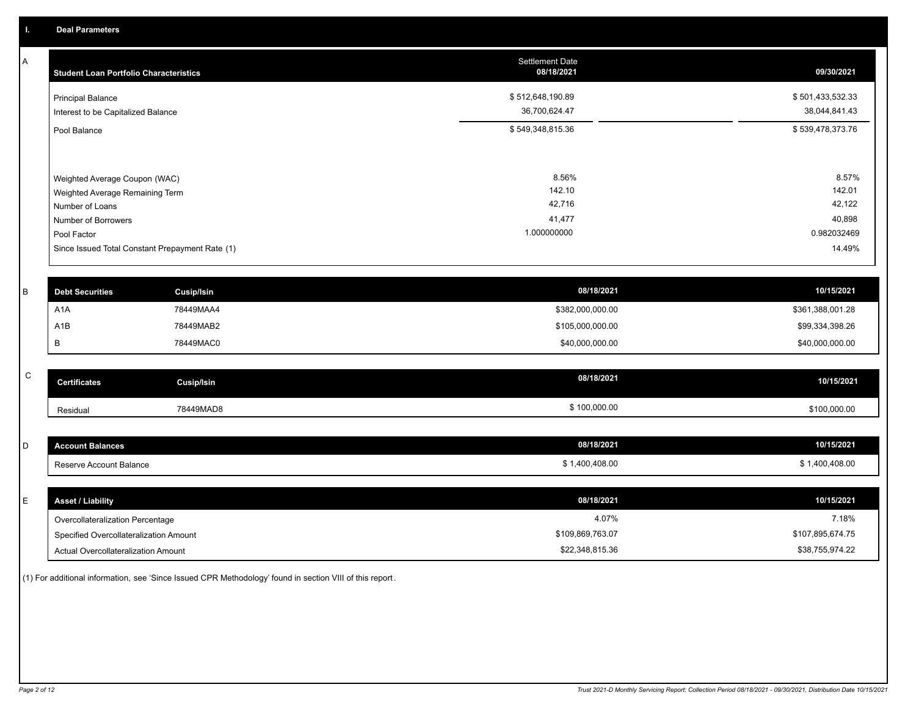A

| <b>Student Loan Portfolio Characteristics</b>                                                                                                                                | <b>Settlement Date</b><br>08/18/2021               | 09/30/2021                                                   |
|------------------------------------------------------------------------------------------------------------------------------------------------------------------------------|----------------------------------------------------|--------------------------------------------------------------|
| <b>Principal Balance</b><br>Interest to be Capitalized Balance                                                                                                               | \$512,648,190.89<br>36,700,624.47                  | \$501,433,532.33<br>38,044,841.43                            |
| Pool Balance                                                                                                                                                                 | \$549,348,815.36                                   | \$539,478,373.76                                             |
| Weighted Average Coupon (WAC)<br>Weighted Average Remaining Term<br>Number of Loans<br>Number of Borrowers<br>Pool Factor<br>Since Issued Total Constant Prepayment Rate (1) | 8.56%<br>142.10<br>42,716<br>41,477<br>1.000000000 | 8.57%<br>142.01<br>42,122<br>40,898<br>0.982032469<br>14.49% |
|                                                                                                                                                                              |                                                    |                                                              |

| <b>Debt Securities</b> | Cusip/Isin | 08/18/2021       | 10/15/2021       |
|------------------------|------------|------------------|------------------|
| A <sub>1</sub> A       | 78449MAA4  | \$382,000,000.00 | \$361,388,001.28 |
| A <sub>1</sub> B       | 78449MAB2  | \$105,000,000.00 | \$99,334,398.26  |
|                        | 78449MAC0  | \$40,000,000.00  | \$40,000,000.00  |

| $\sim$<br>$\mathbf{\tilde{v}}$ | Certificates | <b>Cusip/Isin</b> | 08/18/2021   | 10/15/2021   |
|--------------------------------|--------------|-------------------|--------------|--------------|
|                                | Residual     | 78449MAD8         | \$100,000.00 | \$100,000.00 |

| <b>Account Balances</b> | 08/18/2021   | 10/15/2021   |
|-------------------------|--------------|--------------|
| Reserve Account Balance | 1,400,408.00 | 1,400,408.00 |

| E. | <b>Asset / Liability</b>               | 08/18/2021       | 10/15/2021       |
|----|----------------------------------------|------------------|------------------|
|    | Overcollateralization Percentage       | 4.07%            | 7.18%            |
|    | Specified Overcollateralization Amount | \$109,869,763.07 | \$107,895,674.75 |
|    | Actual Overcollateralization Amount    | \$22,348,815.36  | \$38,755,974.22  |

(1) For additional information, see 'Since Issued CPR Methodology' found in section VIII of this report .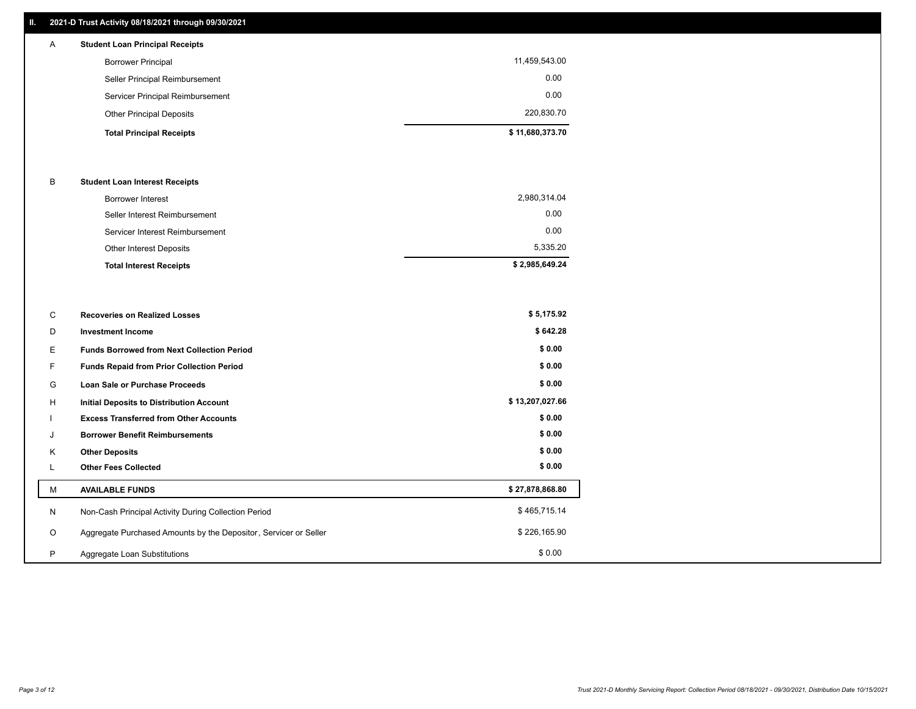## **II. 2021-D Trust Activity 08/18/2021 through 09/30/2021**

| $\mathsf{A}$ | <b>Student Loan Principal Receipts</b> |                 |
|--------------|----------------------------------------|-----------------|
|              | <b>Borrower Principal</b>              | 11,459,543.00   |
|              | Seller Principal Reimbursement         | 0.00            |
|              | Servicer Principal Reimbursement       | 0.00            |
|              | <b>Other Principal Deposits</b>        | 220,830.70      |
|              | <b>Total Principal Receipts</b>        | \$11,680,373.70 |

### B **Student Loan Interest Receipts**

| <b>Total Interest Receipts</b>  | \$2,985,649.24 |
|---------------------------------|----------------|
| Other Interest Deposits         | 5,335.20       |
| Servicer Interest Reimbursement | 0.00           |
| Seller Interest Reimbursement   | 0.00           |
| Borrower Interest               | 2,980,314.04   |

| C       | <b>Recoveries on Realized Losses</b>                             | \$5,175.92      |
|---------|------------------------------------------------------------------|-----------------|
| D       | <b>Investment Income</b>                                         | \$642.28        |
| E.      | <b>Funds Borrowed from Next Collection Period</b>                | \$0.00          |
| F.      | Funds Repaid from Prior Collection Period                        | \$0.00          |
| G       | Loan Sale or Purchase Proceeds                                   | \$0.00          |
| H       | Initial Deposits to Distribution Account                         | \$13,207,027.66 |
|         | <b>Excess Transferred from Other Accounts</b>                    | \$0.00          |
| J       | <b>Borrower Benefit Reimbursements</b>                           | \$0.00          |
| K       | <b>Other Deposits</b>                                            | \$0.00          |
| ┗       | <b>Other Fees Collected</b>                                      | \$0.00          |
| М       | <b>AVAILABLE FUNDS</b>                                           | \$27,878,868.80 |
| N       | Non-Cash Principal Activity During Collection Period             | \$465,715.14    |
| $\circ$ | Aggregate Purchased Amounts by the Depositor, Servicer or Seller | \$226,165.90    |
| P       | Aggregate Loan Substitutions                                     | \$0.00          |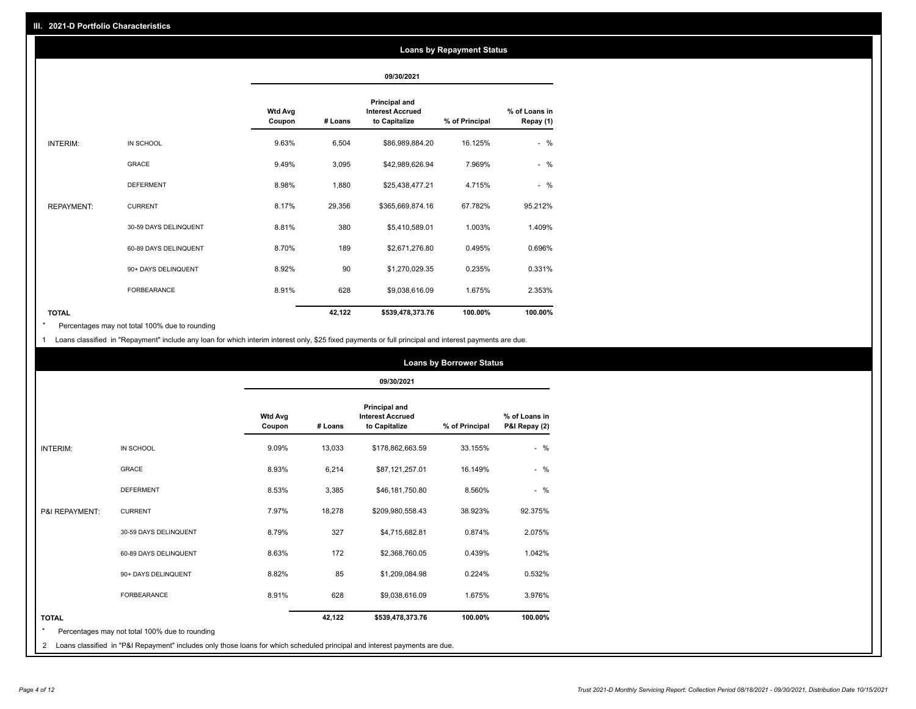### **Loans by Repayment Status**

|                   |                       |                          |         | 09/30/2021                                                       |                |                            |
|-------------------|-----------------------|--------------------------|---------|------------------------------------------------------------------|----------------|----------------------------|
|                   |                       | <b>Wtd Avg</b><br>Coupon | # Loans | <b>Principal and</b><br><b>Interest Accrued</b><br>to Capitalize | % of Principal | % of Loans in<br>Repay (1) |
| INTERIM:          | IN SCHOOL             | 9.63%                    | 6,504   | \$86,989,884.20                                                  | 16.125%        | $-$ %                      |
|                   | <b>GRACE</b>          | 9.49%                    | 3,095   | \$42,989,626.94                                                  | 7.969%         | $-$ %                      |
|                   | <b>DEFERMENT</b>      | 8.98%                    | 1,880   | \$25,438,477.21                                                  | 4.715%         | $-$ %                      |
| <b>REPAYMENT:</b> | <b>CURRENT</b>        | 8.17%                    | 29,356  | \$365,669,874.16                                                 | 67.782%        | 95.212%                    |
|                   | 30-59 DAYS DELINQUENT | 8.81%                    | 380     | \$5,410,589.01                                                   | 1.003%         | 1.409%                     |
|                   | 60-89 DAYS DELINQUENT | 8.70%                    | 189     | \$2,671,276.80                                                   | 0.495%         | 0.696%                     |
|                   | 90+ DAYS DELINQUENT   | 8.92%                    | 90      | \$1,270,029.35                                                   | 0.235%         | 0.331%                     |
|                   | <b>FORBEARANCE</b>    | 8.91%                    | 628     | \$9,038,616.09                                                   | 1.675%         | 2.353%                     |
| <b>TOTAL</b>      |                       |                          | 42,122  | \$539,478,373.76                                                 | 100.00%        | 100.00%                    |

Percentages may not total 100% due to rounding \*

1 Loans classified in "Repayment" include any loan for which interim interest only, \$25 fixed payments or full principal and interest payments are due.

|                |                                                |                          |         |                                                                  | <b>Loans by Borrower Status</b> |                                |
|----------------|------------------------------------------------|--------------------------|---------|------------------------------------------------------------------|---------------------------------|--------------------------------|
|                |                                                |                          |         | 09/30/2021                                                       |                                 |                                |
|                |                                                | <b>Wtd Avg</b><br>Coupon | # Loans | <b>Principal and</b><br><b>Interest Accrued</b><br>to Capitalize | % of Principal                  | % of Loans in<br>P&I Repay (2) |
| INTERIM:       | IN SCHOOL                                      | 9.09%                    | 13,033  | \$178,862,663.59                                                 | 33.155%                         | $-$ %                          |
|                | <b>GRACE</b>                                   | 8.93%                    | 6,214   | \$87,121,257.01                                                  | 16.149%                         | $-$ %                          |
|                | <b>DEFERMENT</b>                               | 8.53%                    | 3,385   | \$46,181,750.80                                                  | 8.560%                          | $-$ %                          |
| P&I REPAYMENT: | <b>CURRENT</b>                                 | 7.97%                    | 18,278  | \$209,980,558.43                                                 | 38.923%                         | 92.375%                        |
|                | 30-59 DAYS DELINQUENT                          | 8.79%                    | 327     | \$4,715,682.81                                                   | 0.874%                          | 2.075%                         |
|                | 60-89 DAYS DELINQUENT                          | 8.63%                    | 172     | \$2,368,760.05                                                   | 0.439%                          | 1.042%                         |
|                | 90+ DAYS DELINQUENT                            | 8.82%                    | 85      | \$1,209,084.98                                                   | 0.224%                          | 0.532%                         |
|                | <b>FORBEARANCE</b>                             | 8.91%                    | 628     | \$9,038,616.09                                                   | 1.675%                          | 3.976%                         |
| <b>TOTAL</b>   |                                                |                          | 42,122  | \$539,478,373.76                                                 | 100.00%                         | 100.00%                        |
| $\star$        | Percentages may not total 100% due to rounding |                          |         |                                                                  |                                 |                                |

2 Loans classified in "P&I Repayment" includes only those loans for which scheduled principal and interest payments are due.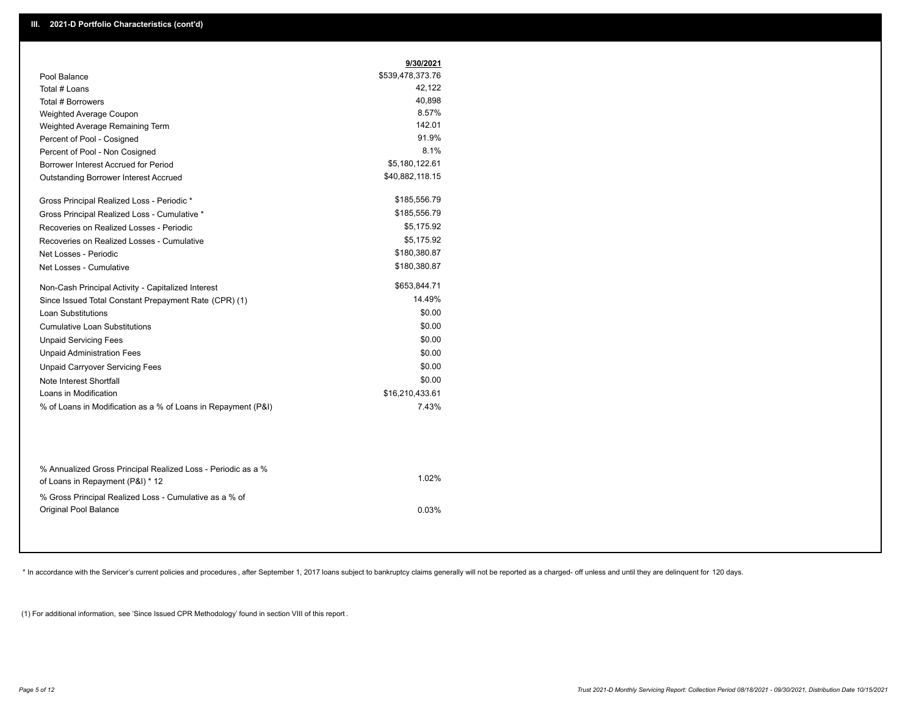|                                                               | 9/30/2021        |
|---------------------------------------------------------------|------------------|
| Pool Balance                                                  | \$539,478,373.76 |
| Total # Loans                                                 | 42,122           |
| Total # Borrowers                                             | 40.898           |
| <b>Weighted Average Coupon</b>                                | 8.57%            |
| Weighted Average Remaining Term                               | 142.01           |
| Percent of Pool - Cosigned                                    | 91.9%            |
| Percent of Pool - Non Cosigned                                | 8.1%             |
| Borrower Interest Accrued for Period                          | \$5,180,122.61   |
| <b>Outstanding Borrower Interest Accrued</b>                  | \$40,882,118.15  |
| Gross Principal Realized Loss - Periodic *                    | \$185,556.79     |
| Gross Principal Realized Loss - Cumulative *                  | \$185,556.79     |
| Recoveries on Realized Losses - Periodic                      | \$5,175.92       |
| Recoveries on Realized Losses - Cumulative                    | \$5,175.92       |
| Net Losses - Periodic                                         | \$180,380.87     |
| Net Losses - Cumulative                                       | \$180,380.87     |
| Non-Cash Principal Activity - Capitalized Interest            | \$653,844.71     |
| Since Issued Total Constant Prepayment Rate (CPR) (1)         | 14.49%           |
| Loan Substitutions                                            | \$0.00           |
| <b>Cumulative Loan Substitutions</b>                          | \$0.00           |
| <b>Unpaid Servicing Fees</b>                                  | \$0.00           |
| <b>Unpaid Administration Fees</b>                             | \$0.00           |
| <b>Unpaid Carryover Servicing Fees</b>                        | \$0.00           |
| Note Interest Shortfall                                       | \$0.00           |
| Loans in Modification                                         | \$16,210,433.61  |
| % of Loans in Modification as a % of Loans in Repayment (P&I) | 7.43%            |

| 1.02% |
|-------|
|       |
| 0.03% |
|       |

\* In accordance with the Servicer's current policies and procedures, after September 1, 2017 loans subject to bankruptcy claims generally will not be reported as a charged- off unless and until they are delinquent for 120

(1) For additional information, see 'Since Issued CPR Methodology' found in section VIII of this report .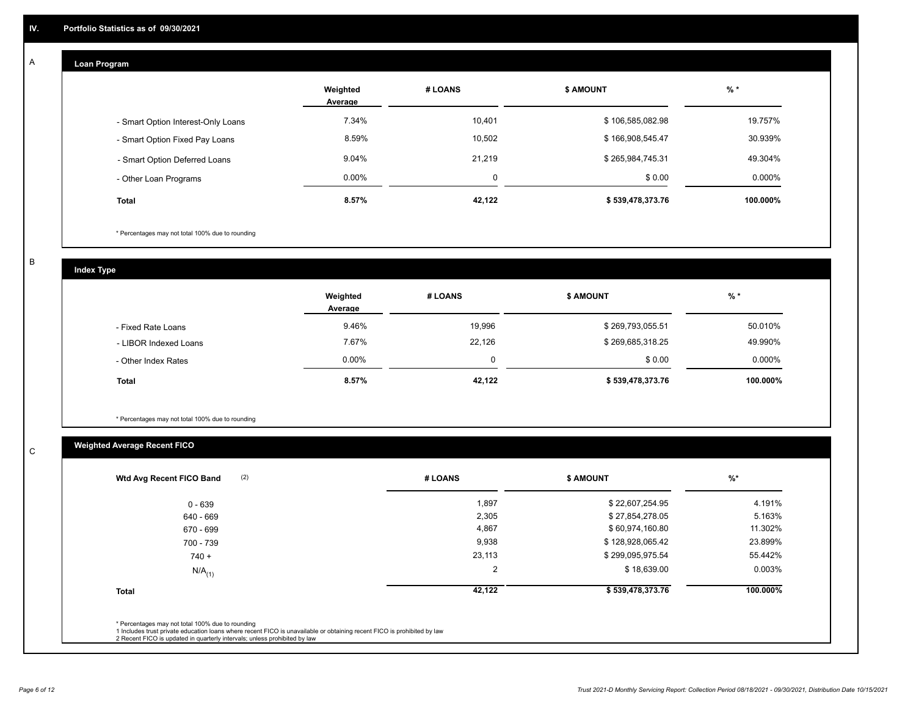# **Loan Program**

A

|                                    | Weighted<br>Average | # LOANS  | <b>\$ AMOUNT</b> | $%$ *    |
|------------------------------------|---------------------|----------|------------------|----------|
| - Smart Option Interest-Only Loans | 7.34%               | 10,401   | \$106,585,082.98 | 19.757%  |
| - Smart Option Fixed Pay Loans     | 8.59%               | 10,502   | \$166,908,545.47 | 30.939%  |
| - Smart Option Deferred Loans      | 9.04%               | 21.219   | \$265,984,745.31 | 49.304%  |
| - Other Loan Programs              | $0.00\%$            | $\Omega$ | \$0.00           | 0.000%   |
| <b>Total</b>                       | 8.57%               | 42.122   | \$539,478,373.76 | 100.000% |

\* Percentages may not total 100% due to rounding

B

C

**Index Type**

|                       | Weighted<br>Average | # LOANS | <b>\$ AMOUNT</b> | % *       |
|-----------------------|---------------------|---------|------------------|-----------|
| - Fixed Rate Loans    | 9.46%               | 19,996  | \$269,793,055.51 | 50.010%   |
| - LIBOR Indexed Loans | 7.67%               | 22,126  | \$269,685,318.25 | 49.990%   |
| - Other Index Rates   | $0.00\%$            |         | \$0.00           | $0.000\%$ |
| <b>Total</b>          | 8.57%               | 42,122  | \$539,478,373.76 | 100.000%  |

\* Percentages may not total 100% due to rounding

# **Weighted Average Recent FICO**

| 1,897<br>2,305<br>4,867<br>9,938 | \$22,607,254.95<br>\$27,854,278.05<br>\$60,974,160.80 | 4.191%<br>5.163%<br>11.302% |
|----------------------------------|-------------------------------------------------------|-----------------------------|
|                                  |                                                       |                             |
|                                  |                                                       |                             |
|                                  |                                                       |                             |
|                                  | \$128,928,065.42                                      | 23.899%                     |
| 23,113                           | \$299,095,975.54                                      | 55.442%                     |
| $\overline{2}$                   | \$18,639.00                                           | 0.003%                      |
| 42,122                           | \$539,478,373.76                                      | 100.000%                    |
|                                  |                                                       |                             |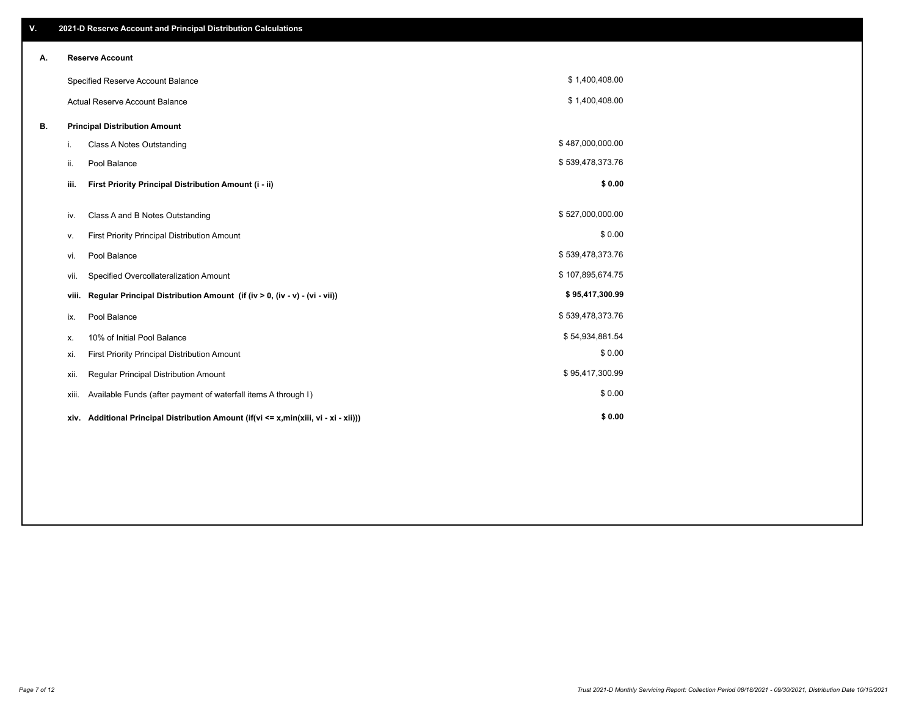| V. |       | 2021-D Reserve Account and Principal Distribution Calculations                       |                  |  |
|----|-------|--------------------------------------------------------------------------------------|------------------|--|
| А. |       | <b>Reserve Account</b>                                                               |                  |  |
|    |       | Specified Reserve Account Balance                                                    | \$1,400,408.00   |  |
|    |       | <b>Actual Reserve Account Balance</b>                                                | \$1,400,408.00   |  |
| В. |       | <b>Principal Distribution Amount</b>                                                 |                  |  |
|    | i.    | Class A Notes Outstanding                                                            | \$487,000,000.00 |  |
|    | ii.   | Pool Balance                                                                         | \$539,478,373.76 |  |
|    | iii.  | First Priority Principal Distribution Amount (i - ii)                                | \$0.00           |  |
|    | iv.   | Class A and B Notes Outstanding                                                      | \$527,000,000.00 |  |
|    | ۷.    | First Priority Principal Distribution Amount                                         | \$0.00           |  |
|    | vi.   | Pool Balance                                                                         | \$539,478,373.76 |  |
|    | vii.  | Specified Overcollateralization Amount                                               | \$107,895,674.75 |  |
|    | viii. | Regular Principal Distribution Amount (if (iv > 0, (iv - v) - (vi - vii))            | \$95,417,300.99  |  |
|    | ix.   | Pool Balance                                                                         | \$539,478,373.76 |  |
|    | х.    | 10% of Initial Pool Balance                                                          | \$54,934,881.54  |  |
|    | xi.   | First Priority Principal Distribution Amount                                         | \$0.00           |  |
|    | xii.  | Regular Principal Distribution Amount                                                | \$95,417,300.99  |  |
|    | xiii. | Available Funds (after payment of waterfall items A through I)                       | \$0.00           |  |
|    |       | xiv. Additional Principal Distribution Amount (if(vi <= x,min(xiii, vi - xi - xii))) | \$0.00           |  |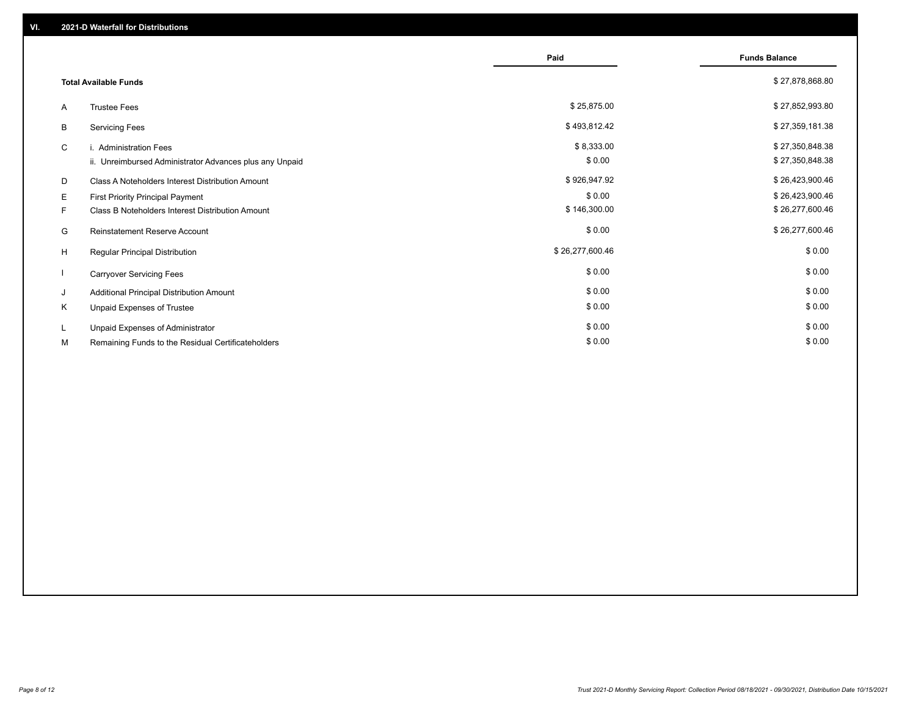|    |                                                         | Paid            | <b>Funds Balance</b> |
|----|---------------------------------------------------------|-----------------|----------------------|
|    | <b>Total Available Funds</b>                            |                 | \$27,878,868.80      |
| A  | <b>Trustee Fees</b>                                     | \$25,875.00     | \$27,852,993.80      |
| В  | <b>Servicing Fees</b>                                   | \$493,812.42    | \$27,359,181.38      |
| C  | i. Administration Fees                                  | \$8,333.00      | \$27,350,848.38      |
|    | ii. Unreimbursed Administrator Advances plus any Unpaid | \$0.00          | \$27,350,848.38      |
| D  | Class A Noteholders Interest Distribution Amount        | \$926,947.92    | \$26,423,900.46      |
| E. | <b>First Priority Principal Payment</b>                 | \$0.00          | \$26,423,900.46      |
| F. | Class B Noteholders Interest Distribution Amount        | \$146,300.00    | \$26,277,600.46      |
| G  | <b>Reinstatement Reserve Account</b>                    | \$0.00          | \$26,277,600.46      |
| H  | <b>Regular Principal Distribution</b>                   | \$26,277,600.46 | \$0.00               |
|    | <b>Carryover Servicing Fees</b>                         | \$0.00          | \$0.00               |
| J  | Additional Principal Distribution Amount                | \$0.00          | \$0.00               |
| K  | Unpaid Expenses of Trustee                              | \$0.00          | \$0.00               |
|    | Unpaid Expenses of Administrator                        | \$0.00          | \$0.00               |
| М  | Remaining Funds to the Residual Certificateholders      | \$0.00          | \$0.00               |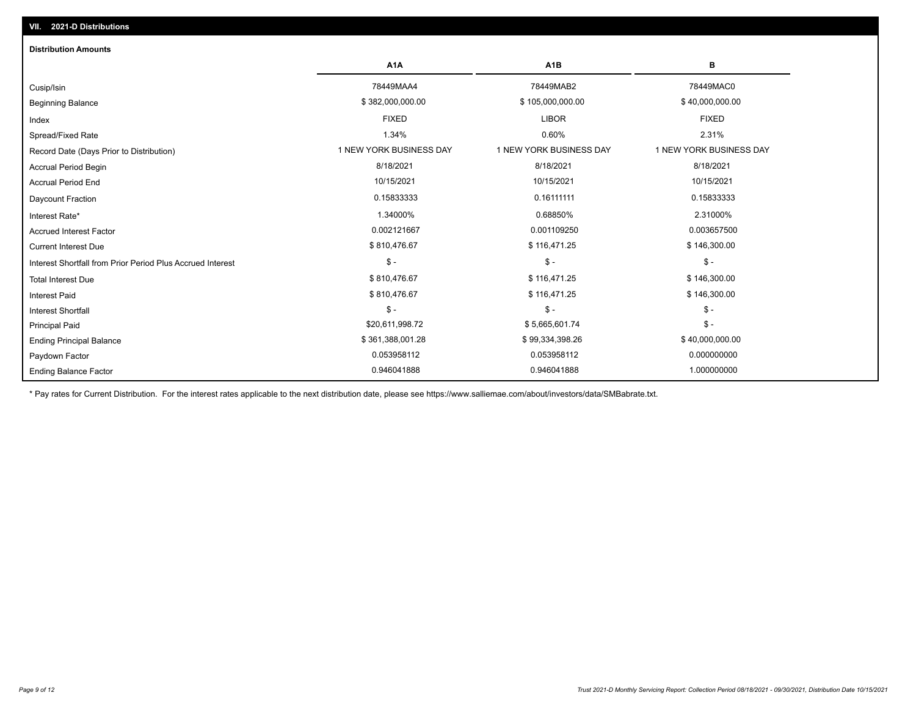| <b>Distribution Amounts</b>                                |                         |                         |                         |
|------------------------------------------------------------|-------------------------|-------------------------|-------------------------|
|                                                            | A <sub>1</sub> A        | A <sub>1</sub> B        | в                       |
| Cusip/Isin                                                 | 78449MAA4               | 78449MAB2               | 78449MAC0               |
| <b>Beginning Balance</b>                                   | \$382,000,000.00        | \$105,000,000.00        | \$40,000,000.00         |
| Index                                                      | <b>FIXED</b>            | <b>LIBOR</b>            | <b>FIXED</b>            |
| Spread/Fixed Rate                                          | 1.34%                   | 0.60%                   | 2.31%                   |
| Record Date (Days Prior to Distribution)                   | 1 NEW YORK BUSINESS DAY | 1 NEW YORK BUSINESS DAY | 1 NEW YORK BUSINESS DAY |
| <b>Accrual Period Begin</b>                                | 8/18/2021               | 8/18/2021               | 8/18/2021               |
| <b>Accrual Period End</b>                                  | 10/15/2021              | 10/15/2021              | 10/15/2021              |
| Daycount Fraction                                          | 0.15833333              | 0.16111111              | 0.15833333              |
| Interest Rate*                                             | 1.34000%                | 0.68850%                | 2.31000%                |
| <b>Accrued Interest Factor</b>                             | 0.002121667             | 0.001109250             | 0.003657500             |
| <b>Current Interest Due</b>                                | \$810,476.67            | \$116,471.25            | \$146,300.00            |
| Interest Shortfall from Prior Period Plus Accrued Interest | $\mathcal{S}$ -         | $\mathsf{\$}$ -         | $\mathsf{\$}$ -         |
| <b>Total Interest Due</b>                                  | \$810,476.67            | \$116,471.25            | \$146,300.00            |
| Interest Paid                                              | \$810,476.67            | \$116,471.25            | \$146,300.00            |
| <b>Interest Shortfall</b>                                  | $\frac{1}{2}$           | $\mathsf{\$}$ -         | $\mathsf{\$}$ -         |
| <b>Principal Paid</b>                                      | \$20,611,998.72         | \$5,665,601.74          | $\mathsf{\$}$ -         |
| <b>Ending Principal Balance</b>                            | \$361,388,001.28        | \$99,334,398.26         | \$40,000,000.00         |
| Paydown Factor                                             | 0.053958112             | 0.053958112             | 0.000000000             |
| <b>Ending Balance Factor</b>                               | 0.946041888             | 0.946041888             | 1.000000000             |

\* Pay rates for Current Distribution. For the interest rates applicable to the next distribution date, please see https://www.salliemae.com/about/investors/data/SMBabrate.txt.

**VII. 2021-D Distributions**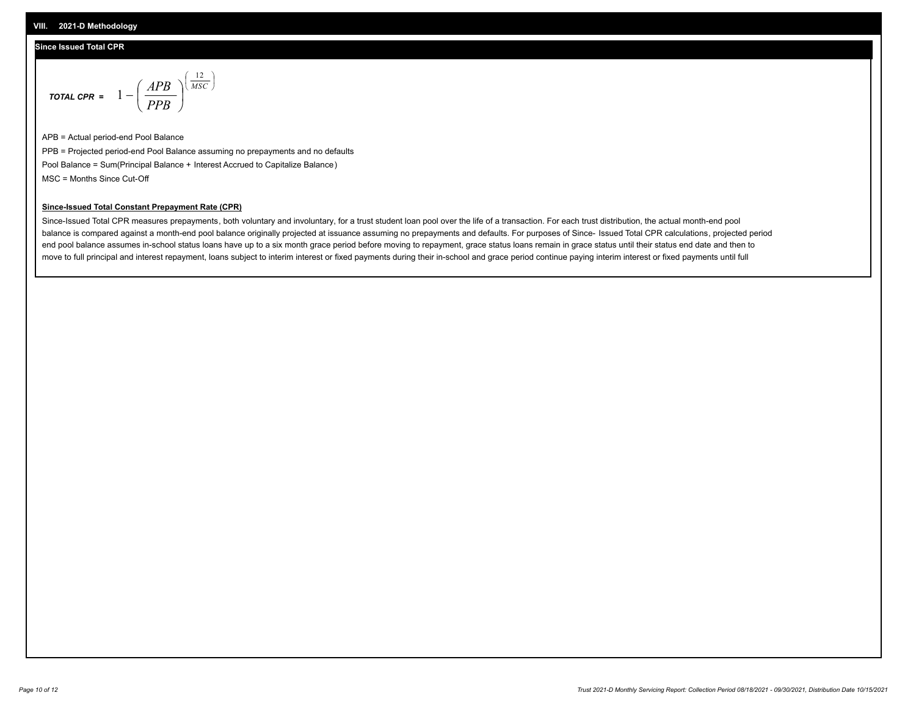## **Since Issued Total CPR**

$$
\text{total CPR} = 1 - \left(\frac{APB}{PPB}\right)^{\left(\frac{12}{MSC}\right)}
$$

APB = Actual period-end Pool Balance PPB = Projected period-end Pool Balance assuming no prepayments and no defaults Pool Balance = Sum(Principal Balance + Interest Accrued to Capitalize Balance) MSC = Months Since Cut-Off

I J Ι

## **Since-Issued Total Constant Prepayment Rate (CPR)**

Since-Issued Total CPR measures prepayments, both voluntary and involuntary, for a trust student loan pool over the life of a transaction. For each trust distribution, the actual month-end pool balance is compared against a month-end pool balance originally projected at issuance assuming no prepayments and defaults. For purposes of Since- Issued Total CPR calculations, projected period end pool balance assumes in-school status loans have up to a six month grace period before moving to repayment, grace status loans remain in grace status until their status end date and then to move to full principal and interest repayment, loans subject to interim interest or fixed payments during their in-school and grace period continue paying interim interest or fixed payments until full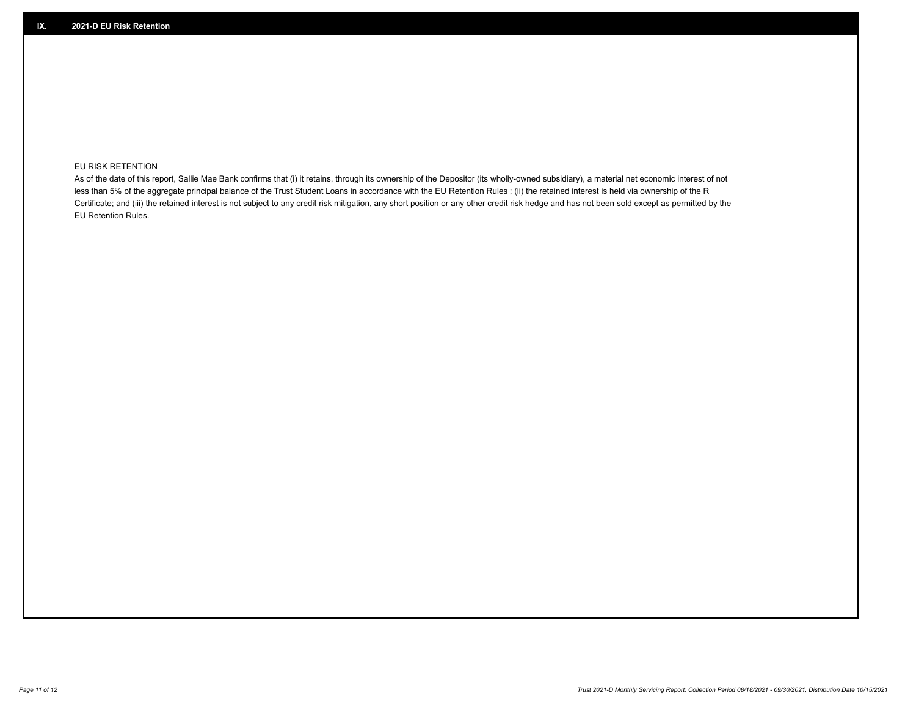# **EU RISK RETENTION**

As of the date of this report, Sallie Mae Bank confirms that (i) it retains, through its ownership of the Depositor (its wholly-owned subsidiary), a material net economic interest of not less than 5% of the aggregate principal balance of the Trust Student Loans in accordance with the EU Retention Rules ; (ii) the retained interest is held via ownership of the R Certificate; and (iii) the retained interest is not subject to any credit risk mitigation, any short position or any other credit risk hedge and has not been sold except as permitted by the EU Retention Rules.